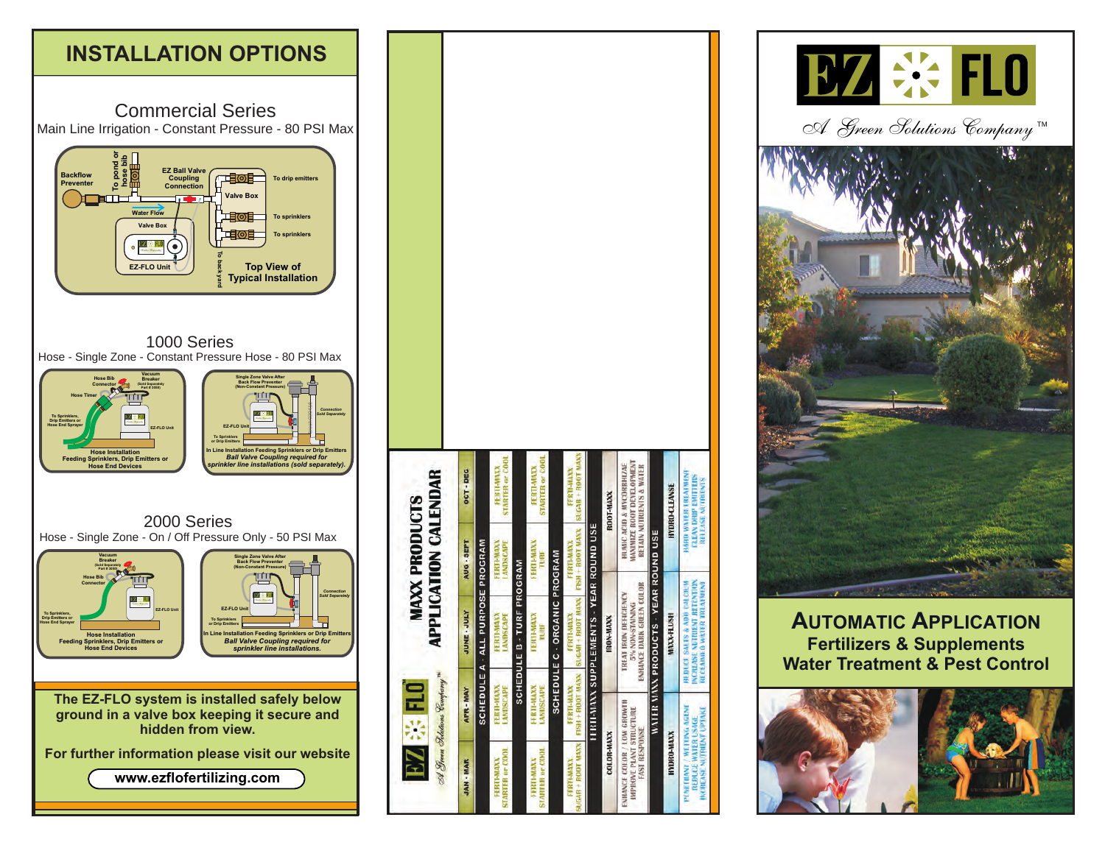

|                                                                                          | A Streen Schutions Company<br><b>DN ※ NO</b> |                                                                                                                      | <b>MAXX PRODUCTS</b>                  | <b>APPLICATION CALENDAR</b>                                                                  |
|------------------------------------------------------------------------------------------|----------------------------------------------|----------------------------------------------------------------------------------------------------------------------|---------------------------------------|----------------------------------------------------------------------------------------------|
| <b>JAN - MAR</b>                                                                         | <b>APR-MAY</b>                               | <b>VINE - JULY</b>                                                                                                   | AUG - SEPT                            | OCT-DEC                                                                                      |
|                                                                                          |                                              | SCHEDULE A - ALL PURPOSE PROGRAM                                                                                     |                                       |                                                                                              |
| <b>STARTER or COOL</b><br>FEBTI-MAXX                                                     | FERTI-MAXX<br><b>LANDSCAPE</b>               | <b>LANDSCAPE</b><br><b>FERTI-MANX</b>                                                                                | <b>LANDSCAPE</b><br><b>FERTI-MAXX</b> | <b>STARTER or COOL</b><br><b>FERTI-MAXX</b>                                                  |
|                                                                                          |                                              | <b>SCHEDULE B - TURF PROGRAM</b>                                                                                     |                                       |                                                                                              |
| <b>STARTER or COOL</b><br><b>EFRIT-MAXX</b>                                              | <b>LANDSCAPE</b><br>FERTHMAXX                | FERTH-MAXX<br>tun                                                                                                    | FERTHAMAXX<br>TURF                    | <b>STARTER or COOL</b><br><b>FERTI-MANX</b>                                                  |
|                                                                                          |                                              | <b>SCHEDULE C - ORGANIC PROGRAM</b>                                                                                  |                                       |                                                                                              |
| SUGAR + ROOT MAXX<br>FFRTI-MAXX                                                          | FISH + ROOT MAXX<br>FERTI-MAXX               | <b>SUGAR + ROOT MAXX</b><br><b>FERTI-MAXX</b>                                                                        | FISH + ROOT MAXX<br>FERTHMANX         | StiGAR + ROOT MAX<br><b>FERTI-MAXX</b>                                                       |
|                                                                                          |                                              | <b>HIRTHMAXX SUPPLEMENTS - YEAR ROUND USE</b>                                                                        |                                       |                                                                                              |
| <b>COLOR-MAXX</b>                                                                        |                                              | RON-MAXX                                                                                                             |                                       | R001-MAXX                                                                                    |
| ENHANCE COLOR / LOW GROWTH<br>IMPROVE PLANT STRUCTURE<br><b>FAST RESPONSE</b>            |                                              | <b>ENRANCE DARK GREEN COLOR</b><br><b>TREAT IRON DEFICIENCY</b><br>5% NON-STAINING                                   |                                       | MAXIMIZE ROOT DEVELOPMENT<br>HUMIC ACID & MYCORRHIZAE<br><b>BETAIN NUTRIENTS &amp; WATER</b> |
|                                                                                          |                                              | <b>WATER MAXX PRODUCTS - YEAR ROUND USE</b>                                                                          |                                       |                                                                                              |
| <b>HYDRO-MAXX</b>                                                                        |                                              | <b>MAXX-FLUSH</b>                                                                                                    |                                       | <b>HYDRO-CLEANSE</b>                                                                         |
| PENETHANT / WEITING AGENT<br><b>MCREASE MUTRIENT UPTAKE</b><br><b>REDUCE WATER USAGE</b> |                                              | <b>NCREASE NUTRIENT RETENTION</b><br><b>REDUCE SALES &amp; ADD CALCILM</b><br><b><i>UCLAIMED WATER TREATMENT</i></b> |                                       | <b>MARD WATER TREATMENT</b><br><b>CLEAN DRIP EMITTERS</b><br><b>REFEASE NUTRIENTS</b>        |



**AUTOMATIC APPLICATION Fertilizers & Supplements Water Treatment & Pest Control**